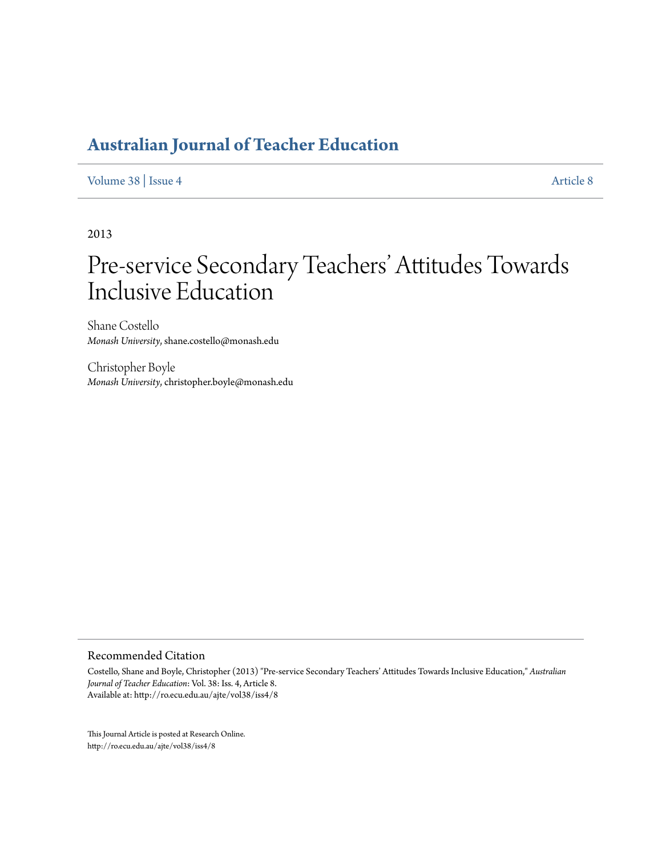# **[Australian Journal of Teacher Education](http://ro.ecu.edu.au/ajte)**

[Volume 38](http://ro.ecu.edu.au/ajte/vol38) | [Issue 4](http://ro.ecu.edu.au/ajte/vol38/iss4) [Article 8](http://ro.ecu.edu.au/ajte/vol38/iss4/8)

2013

# Pre-service Secondary Teachers' Attitudes Towards Inclusive Education

Shane Costello *Monash University*, shane.costello@monash.edu

Christopher Boyle *Monash University*, christopher.boyle@monash.edu

#### Recommended Citation

Costello, Shane and Boyle, Christopher (2013) "Pre-service Secondary Teachers' Attitudes Towards Inclusive Education," *Australian Journal of Teacher Education*: Vol. 38: Iss. 4, Article 8. Available at: http://ro.ecu.edu.au/ajte/vol38/iss4/8

This Journal Article is posted at Research Online. http://ro.ecu.edu.au/ajte/vol38/iss4/8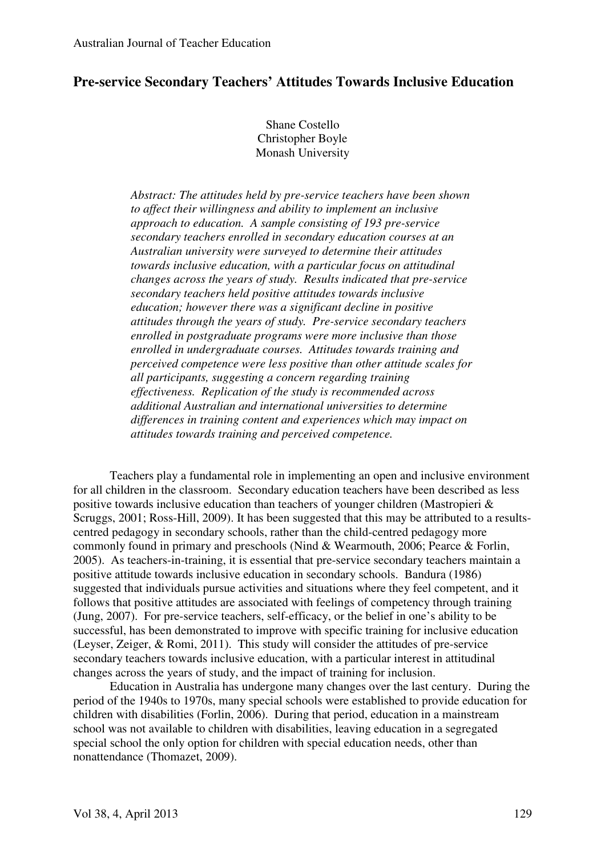# **Pre-service Secondary Teachers' Attitudes Towards Inclusive Education**

Shane Costello Christopher Boyle Monash University

*Abstract: The attitudes held by pre-service teachers have been shown to affect their willingness and ability to implement an inclusive approach to education. A sample consisting of 193 pre-service secondary teachers enrolled in secondary education courses at an Australian university were surveyed to determine their attitudes towards inclusive education, with a particular focus on attitudinal changes across the years of study. Results indicated that pre-service secondary teachers held positive attitudes towards inclusive education; however there was a significant decline in positive attitudes through the years of study. Pre-service secondary teachers enrolled in postgraduate programs were more inclusive than those enrolled in undergraduate courses. Attitudes towards training and perceived competence were less positive than other attitude scales for all participants, suggesting a concern regarding training effectiveness. Replication of the study is recommended across additional Australian and international universities to determine differences in training content and experiences which may impact on attitudes towards training and perceived competence.* 

Teachers play a fundamental role in implementing an open and inclusive environment for all children in the classroom. Secondary education teachers have been described as less positive towards inclusive education than teachers of younger children (Mastropieri & Scruggs, 2001; Ross-Hill, 2009). It has been suggested that this may be attributed to a resultscentred pedagogy in secondary schools, rather than the child-centred pedagogy more commonly found in primary and preschools (Nind & Wearmouth, 2006; Pearce & Forlin, 2005). As teachers-in-training, it is essential that pre-service secondary teachers maintain a positive attitude towards inclusive education in secondary schools. Bandura (1986) suggested that individuals pursue activities and situations where they feel competent, and it follows that positive attitudes are associated with feelings of competency through training (Jung, 2007). For pre-service teachers, self-efficacy, or the belief in one's ability to be successful, has been demonstrated to improve with specific training for inclusive education (Leyser, Zeiger, & Romi, 2011). This study will consider the attitudes of pre-service secondary teachers towards inclusive education, with a particular interest in attitudinal changes across the years of study, and the impact of training for inclusion.

 Education in Australia has undergone many changes over the last century. During the period of the 1940s to 1970s, many special schools were established to provide education for children with disabilities (Forlin, 2006). During that period, education in a mainstream school was not available to children with disabilities, leaving education in a segregated special school the only option for children with special education needs, other than nonattendance (Thomazet, 2009).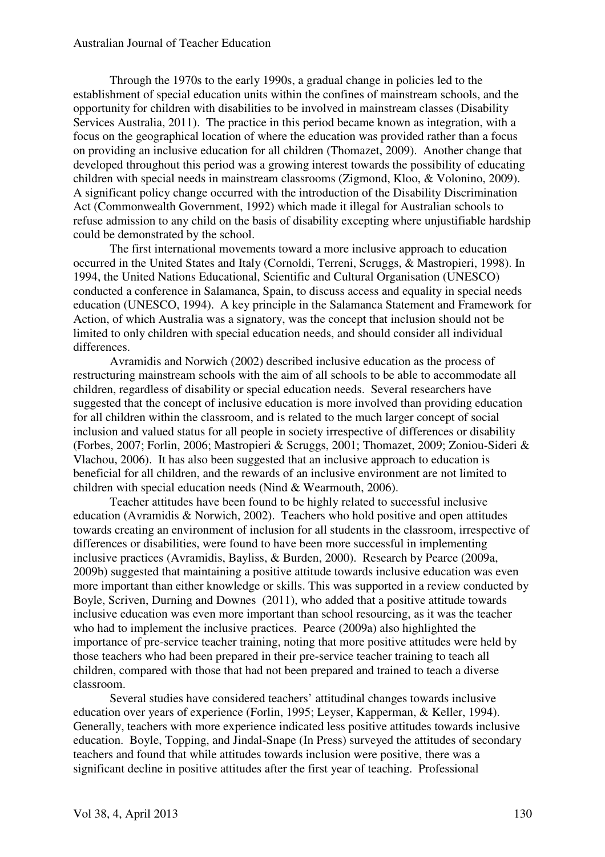Through the 1970s to the early 1990s, a gradual change in policies led to the establishment of special education units within the confines of mainstream schools, and the opportunity for children with disabilities to be involved in mainstream classes (Disability Services Australia, 2011). The practice in this period became known as integration, with a focus on the geographical location of where the education was provided rather than a focus on providing an inclusive education for all children (Thomazet, 2009). Another change that developed throughout this period was a growing interest towards the possibility of educating children with special needs in mainstream classrooms (Zigmond, Kloo, & Volonino, 2009). A significant policy change occurred with the introduction of the Disability Discrimination Act (Commonwealth Government, 1992) which made it illegal for Australian schools to refuse admission to any child on the basis of disability excepting where unjustifiable hardship could be demonstrated by the school.

The first international movements toward a more inclusive approach to education occurred in the United States and Italy (Cornoldi, Terreni, Scruggs, & Mastropieri, 1998). In 1994, the United Nations Educational, Scientific and Cultural Organisation (UNESCO) conducted a conference in Salamanca, Spain, to discuss access and equality in special needs education (UNESCO, 1994). A key principle in the Salamanca Statement and Framework for Action, of which Australia was a signatory, was the concept that inclusion should not be limited to only children with special education needs, and should consider all individual differences.

Avramidis and Norwich (2002) described inclusive education as the process of restructuring mainstream schools with the aim of all schools to be able to accommodate all children, regardless of disability or special education needs. Several researchers have suggested that the concept of inclusive education is more involved than providing education for all children within the classroom, and is related to the much larger concept of social inclusion and valued status for all people in society irrespective of differences or disability (Forbes, 2007; Forlin, 2006; Mastropieri & Scruggs, 2001; Thomazet, 2009; Zoniou-Sideri & Vlachou, 2006). It has also been suggested that an inclusive approach to education is beneficial for all children, and the rewards of an inclusive environment are not limited to children with special education needs (Nind & Wearmouth, 2006).

Teacher attitudes have been found to be highly related to successful inclusive education (Avramidis & Norwich, 2002). Teachers who hold positive and open attitudes towards creating an environment of inclusion for all students in the classroom, irrespective of differences or disabilities, were found to have been more successful in implementing inclusive practices (Avramidis, Bayliss, & Burden, 2000). Research by Pearce (2009a, 2009b) suggested that maintaining a positive attitude towards inclusive education was even more important than either knowledge or skills. This was supported in a review conducted by Boyle, Scriven, Durning and Downes (2011), who added that a positive attitude towards inclusive education was even more important than school resourcing, as it was the teacher who had to implement the inclusive practices. Pearce (2009a) also highlighted the importance of pre-service teacher training, noting that more positive attitudes were held by those teachers who had been prepared in their pre-service teacher training to teach all children, compared with those that had not been prepared and trained to teach a diverse classroom.

Several studies have considered teachers' attitudinal changes towards inclusive education over years of experience (Forlin, 1995; Leyser, Kapperman, & Keller, 1994). Generally, teachers with more experience indicated less positive attitudes towards inclusive education. Boyle, Topping, and Jindal-Snape (In Press) surveyed the attitudes of secondary teachers and found that while attitudes towards inclusion were positive, there was a significant decline in positive attitudes after the first year of teaching. Professional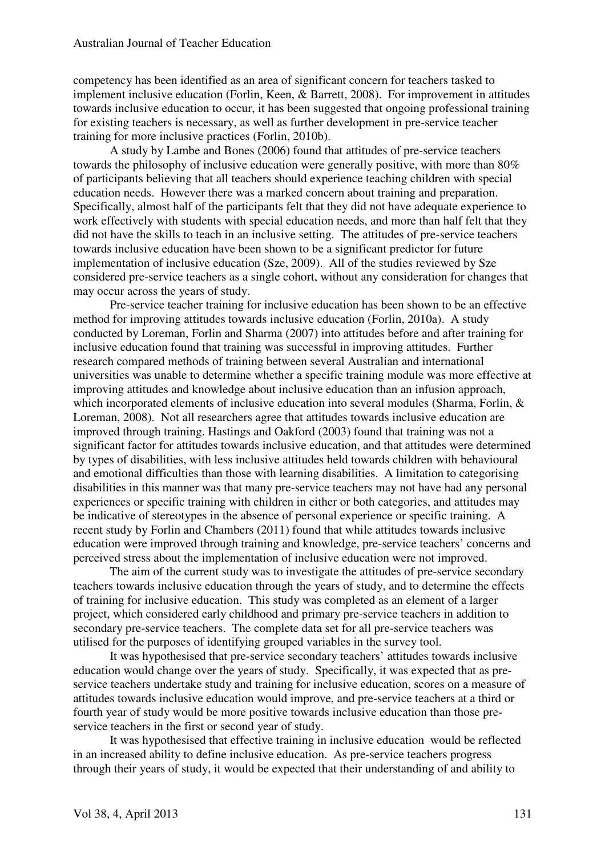competency has been identified as an area of significant concern for teachers tasked to implement inclusive education (Forlin, Keen, & Barrett, 2008). For improvement in attitudes towards inclusive education to occur, it has been suggested that ongoing professional training for existing teachers is necessary, as well as further development in pre-service teacher training for more inclusive practices (Forlin, 2010b).

A study by Lambe and Bones (2006) found that attitudes of pre-service teachers towards the philosophy of inclusive education were generally positive, with more than 80% of participants believing that all teachers should experience teaching children with special education needs. However there was a marked concern about training and preparation. Specifically, almost half of the participants felt that they did not have adequate experience to work effectively with students with special education needs, and more than half felt that they did not have the skills to teach in an inclusive setting. The attitudes of pre-service teachers towards inclusive education have been shown to be a significant predictor for future implementation of inclusive education (Sze, 2009). All of the studies reviewed by Sze considered pre-service teachers as a single cohort, without any consideration for changes that may occur across the years of study.

Pre-service teacher training for inclusive education has been shown to be an effective method for improving attitudes towards inclusive education (Forlin, 2010a). A study conducted by Loreman, Forlin and Sharma (2007) into attitudes before and after training for inclusive education found that training was successful in improving attitudes. Further research compared methods of training between several Australian and international universities was unable to determine whether a specific training module was more effective at improving attitudes and knowledge about inclusive education than an infusion approach, which incorporated elements of inclusive education into several modules (Sharma, Forlin, & Loreman, 2008). Not all researchers agree that attitudes towards inclusive education are improved through training. Hastings and Oakford (2003) found that training was not a significant factor for attitudes towards inclusive education, and that attitudes were determined by types of disabilities, with less inclusive attitudes held towards children with behavioural and emotional difficulties than those with learning disabilities. A limitation to categorising disabilities in this manner was that many pre-service teachers may not have had any personal experiences or specific training with children in either or both categories, and attitudes may be indicative of stereotypes in the absence of personal experience or specific training. A recent study by Forlin and Chambers (2011) found that while attitudes towards inclusive education were improved through training and knowledge, pre-service teachers' concerns and perceived stress about the implementation of inclusive education were not improved.

The aim of the current study was to investigate the attitudes of pre-service secondary teachers towards inclusive education through the years of study, and to determine the effects of training for inclusive education. This study was completed as an element of a larger project, which considered early childhood and primary pre-service teachers in addition to secondary pre-service teachers. The complete data set for all pre-service teachers was utilised for the purposes of identifying grouped variables in the survey tool.

It was hypothesised that pre-service secondary teachers' attitudes towards inclusive education would change over the years of study. Specifically, it was expected that as preservice teachers undertake study and training for inclusive education, scores on a measure of attitudes towards inclusive education would improve, and pre-service teachers at a third or fourth year of study would be more positive towards inclusive education than those preservice teachers in the first or second year of study.

 It was hypothesised that effective training in inclusive education would be reflected in an increased ability to define inclusive education. As pre-service teachers progress through their years of study, it would be expected that their understanding of and ability to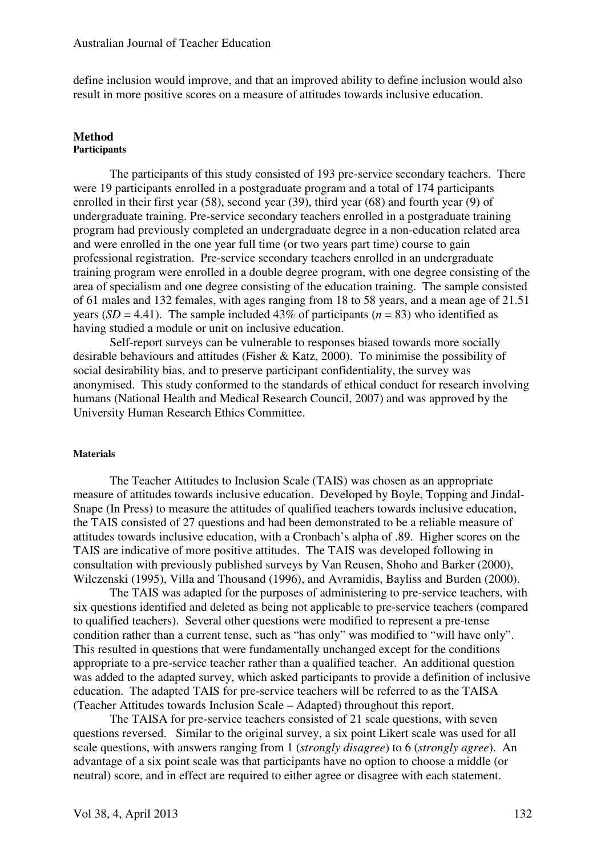define inclusion would improve, and that an improved ability to define inclusion would also result in more positive scores on a measure of attitudes towards inclusive education.

#### **Method Participants**

 The participants of this study consisted of 193 pre-service secondary teachers. There were 19 participants enrolled in a postgraduate program and a total of 174 participants enrolled in their first year (58), second year (39), third year (68) and fourth year (9) of undergraduate training. Pre-service secondary teachers enrolled in a postgraduate training program had previously completed an undergraduate degree in a non-education related area and were enrolled in the one year full time (or two years part time) course to gain professional registration. Pre-service secondary teachers enrolled in an undergraduate training program were enrolled in a double degree program, with one degree consisting of the area of specialism and one degree consisting of the education training. The sample consisted of 61 males and 132 females, with ages ranging from 18 to 58 years, and a mean age of 21.51 years (*SD* = 4.41). The sample included 43% of participants ( $n = 83$ ) who identified as having studied a module or unit on inclusive education.

Self-report surveys can be vulnerable to responses biased towards more socially desirable behaviours and attitudes (Fisher & Katz, 2000). To minimise the possibility of social desirability bias, and to preserve participant confidentiality, the survey was anonymised. This study conformed to the standards of ethical conduct for research involving humans (National Health and Medical Research Council, 2007) and was approved by the University Human Research Ethics Committee.

#### **Materials**

 The Teacher Attitudes to Inclusion Scale (TAIS) was chosen as an appropriate measure of attitudes towards inclusive education. Developed by Boyle, Topping and Jindal-Snape (In Press) to measure the attitudes of qualified teachers towards inclusive education, the TAIS consisted of 27 questions and had been demonstrated to be a reliable measure of attitudes towards inclusive education, with a Cronbach's alpha of .89. Higher scores on the TAIS are indicative of more positive attitudes. The TAIS was developed following in consultation with previously published surveys by Van Reusen, Shoho and Barker (2000), Wilczenski (1995), Villa and Thousand (1996), and Avramidis, Bayliss and Burden (2000).

The TAIS was adapted for the purposes of administering to pre-service teachers, with six questions identified and deleted as being not applicable to pre-service teachers (compared to qualified teachers). Several other questions were modified to represent a pre-tense condition rather than a current tense, such as "has only" was modified to "will have only". This resulted in questions that were fundamentally unchanged except for the conditions appropriate to a pre-service teacher rather than a qualified teacher. An additional question was added to the adapted survey, which asked participants to provide a definition of inclusive education. The adapted TAIS for pre-service teachers will be referred to as the TAISA (Teacher Attitudes towards Inclusion Scale – Adapted) throughout this report.

 The TAISA for pre-service teachers consisted of 21 scale questions, with seven questions reversed. Similar to the original survey, a six point Likert scale was used for all scale questions, with answers ranging from 1 (*strongly disagree*) to 6 (*strongly agree*). An advantage of a six point scale was that participants have no option to choose a middle (or neutral) score, and in effect are required to either agree or disagree with each statement.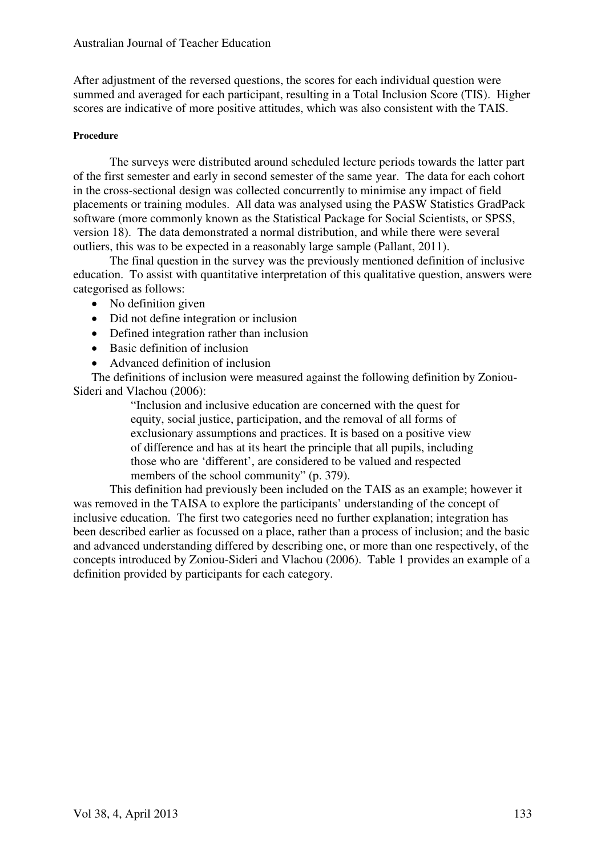After adjustment of the reversed questions, the scores for each individual question were summed and averaged for each participant, resulting in a Total Inclusion Score (TIS). Higher scores are indicative of more positive attitudes, which was also consistent with the TAIS.

# **Procedure**

 The surveys were distributed around scheduled lecture periods towards the latter part of the first semester and early in second semester of the same year. The data for each cohort in the cross-sectional design was collected concurrently to minimise any impact of field placements or training modules. All data was analysed using the PASW Statistics GradPack software (more commonly known as the Statistical Package for Social Scientists, or SPSS, version 18). The data demonstrated a normal distribution, and while there were several outliers, this was to be expected in a reasonably large sample (Pallant, 2011).

 The final question in the survey was the previously mentioned definition of inclusive education. To assist with quantitative interpretation of this qualitative question, answers were categorised as follows:

- No definition given
- Did not define integration or inclusion
- Defined integration rather than inclusion
- Basic definition of inclusion
- Advanced definition of inclusion

The definitions of inclusion were measured against the following definition by Zoniou-Sideri and Vlachou (2006):

"Inclusion and inclusive education are concerned with the quest for equity, social justice, participation, and the removal of all forms of exclusionary assumptions and practices. It is based on a positive view of difference and has at its heart the principle that all pupils, including those who are 'different', are considered to be valued and respected members of the school community" (p. 379).

This definition had previously been included on the TAIS as an example; however it was removed in the TAISA to explore the participants' understanding of the concept of inclusive education. The first two categories need no further explanation; integration has been described earlier as focussed on a place, rather than a process of inclusion; and the basic and advanced understanding differed by describing one, or more than one respectively, of the concepts introduced by Zoniou-Sideri and Vlachou (2006). Table 1 provides an example of a definition provided by participants for each category.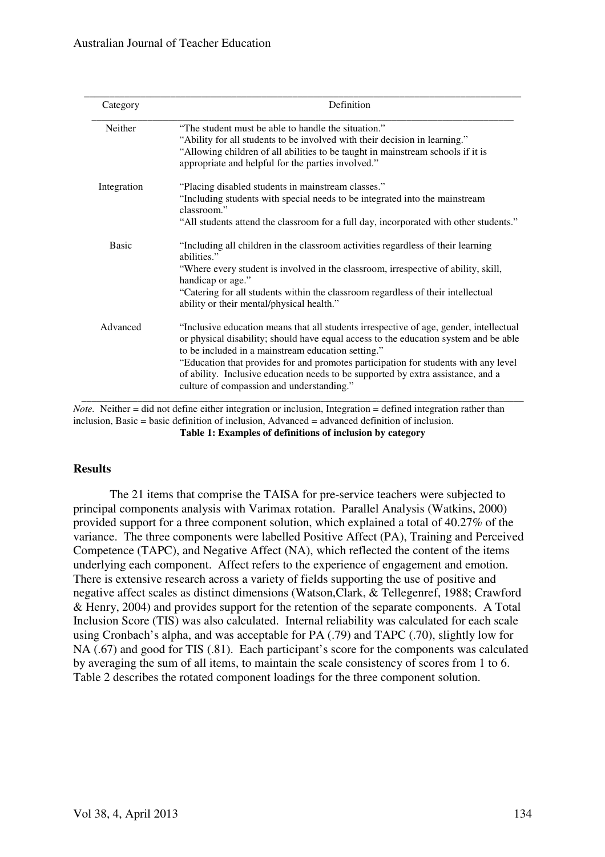| Category     | Definition                                                                                                                                                                                                                                                                                                                                                                                                                                                   |  |  |  |
|--------------|--------------------------------------------------------------------------------------------------------------------------------------------------------------------------------------------------------------------------------------------------------------------------------------------------------------------------------------------------------------------------------------------------------------------------------------------------------------|--|--|--|
| Neither      | "The student must be able to handle the situation."<br>"Ability for all students to be involved with their decision in learning."<br>"Allowing children of all abilities to be taught in mainstream schools if it is<br>appropriate and helpful for the parties involved."                                                                                                                                                                                   |  |  |  |
| Integration  | "Placing disabled students in mainstream classes."<br>"Including students with special needs to be integrated into the mainstream<br>classroom"<br>"All students attend the classroom for a full day, incorporated with other students."                                                                                                                                                                                                                     |  |  |  |
| <b>Basic</b> | "Including all children in the classroom activities regardless of their learning<br>abilities."<br>"Where every student is involved in the classroom, irrespective of ability, skill,<br>handicap or age."<br>"Catering for all students within the classroom regardless of their intellectual<br>ability or their mental/physical health."                                                                                                                  |  |  |  |
| Advanced     | "Inclusive education means that all students irrespective of age, gender, intellectual<br>or physical disability; should have equal access to the education system and be able<br>to be included in a mainstream education setting."<br>"Education that provides for and promotes participation for students with any level<br>of ability. Inclusive education needs to be supported by extra assistance, and a<br>culture of compassion and understanding." |  |  |  |

*Note.* Neither = did not define either integration or inclusion. Integration = defined integration rather than inclusion, Basic = basic definition of inclusion, Advanced = advanced definition of inclusion. **Table 1: Examples of definitions of inclusion by category** 

# **Results**

 The 21 items that comprise the TAISA for pre-service teachers were subjected to principal components analysis with Varimax rotation. Parallel Analysis (Watkins, 2000) provided support for a three component solution, which explained a total of 40.27% of the variance. The three components were labelled Positive Affect (PA), Training and Perceived Competence (TAPC), and Negative Affect (NA), which reflected the content of the items underlying each component. Affect refers to the experience of engagement and emotion. There is extensive research across a variety of fields supporting the use of positive and negative affect scales as distinct dimensions (Watson,Clark, & Tellegenref, 1988; Crawford & Henry, 2004) and provides support for the retention of the separate components. A Total Inclusion Score (TIS) was also calculated. Internal reliability was calculated for each scale using Cronbach's alpha, and was acceptable for PA (.79) and TAPC (.70), slightly low for NA (.67) and good for TIS (.81). Each participant's score for the components was calculated by averaging the sum of all items, to maintain the scale consistency of scores from 1 to 6. Table 2 describes the rotated component loadings for the three component solution.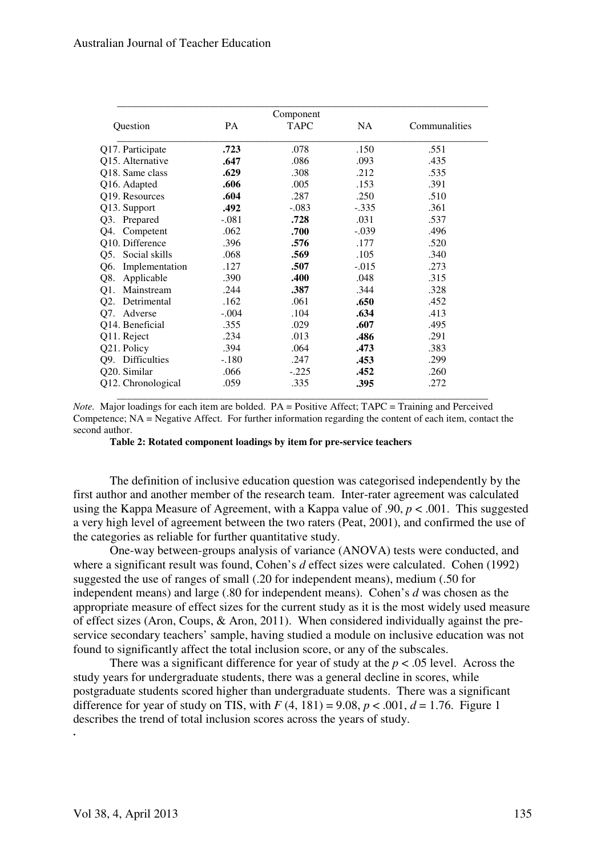| Component             |         |             |           |               |  |  |  |
|-----------------------|---------|-------------|-----------|---------------|--|--|--|
| Question              | PA      | <b>TAPC</b> | <b>NA</b> | Communalities |  |  |  |
| Q17. Participate      | .723    | .078        | .150      | .551          |  |  |  |
| Q15. Alternative      | .647    | .086        | .093      | .435          |  |  |  |
| Q18. Same class       | .629    | .308        | .212      | .535          |  |  |  |
| Q16. Adapted          | .606    | .005        | .153      | .391          |  |  |  |
| Q19. Resources        | .604    | .287        | .250      | .510          |  |  |  |
| Q13. Support          | .492    | $-.083$     | $-.335$   | .361          |  |  |  |
| Q3. Prepared          | $-.081$ | .728        | .031      | .537          |  |  |  |
| Competent<br>O4.      | .062    | .700        | $-.039$   | .496          |  |  |  |
| Q10. Difference       | .396    | .576        | .177      | .520          |  |  |  |
| Q5. Social skills     | .068    | .569        | .105      | .340          |  |  |  |
| Implementation<br>Q6. | .127    | .507        | $-0.015$  | .273          |  |  |  |
| Applicable<br>Q8.     | .390    | .400        | .048      | .315          |  |  |  |
| Mainstream<br>$Q1$ .  | .244    | .387        | .344      | .328          |  |  |  |
| Q2.<br>Detrimental    | .162    | .061        | .650      | .452          |  |  |  |
| Q7.<br>Adverse        | $-.004$ | .104        | .634      | .413          |  |  |  |
| Q14. Beneficial       | .355    | .029        | .607      | .495          |  |  |  |
| Q11. Reject           | .234    | .013        | .486      | .291          |  |  |  |
| Q21. Policy           | .394    | .064        | .473      | .383          |  |  |  |
| Q9. Difficulties      | $-.180$ | .247        | .453      | .299          |  |  |  |
| Q20. Similar          | .066    | $-.225$     | .452      | .260          |  |  |  |
| Q12. Chronological    | .059    | .335        | .395      | .272          |  |  |  |

*Note.* Major loadings for each item are bolded. PA = Positive Affect; TAPC = Training and Perceived Competence; NA = Negative Affect. For further information regarding the content of each item, contact the second author.

**Table 2: Rotated component loadings by item for pre-service teachers** 

The definition of inclusive education question was categorised independently by the first author and another member of the research team. Inter-rater agreement was calculated using the Kappa Measure of Agreement, with a Kappa value of .90, *p* < .001. This suggested a very high level of agreement between the two raters (Peat, 2001), and confirmed the use of the categories as reliable for further quantitative study.

 One-way between-groups analysis of variance (ANOVA) tests were conducted, and where a significant result was found, Cohen's *d* effect sizes were calculated. Cohen (1992) suggested the use of ranges of small (.20 for independent means), medium (.50 for independent means) and large (.80 for independent means). Cohen's *d* was chosen as the appropriate measure of effect sizes for the current study as it is the most widely used measure of effect sizes (Aron, Coups, & Aron, 2011). When considered individually against the preservice secondary teachers' sample, having studied a module on inclusive education was not found to significantly affect the total inclusion score, or any of the subscales.

There was a significant difference for year of study at the *p* < .05 level. Across the study years for undergraduate students, there was a general decline in scores, while postgraduate students scored higher than undergraduate students. There was a significant difference for year of study on TIS, with  $F(4, 181) = 9.08$ ,  $p < .001$ ,  $d = 1.76$ . Figure 1 describes the trend of total inclusion scores across the years of study.

**.**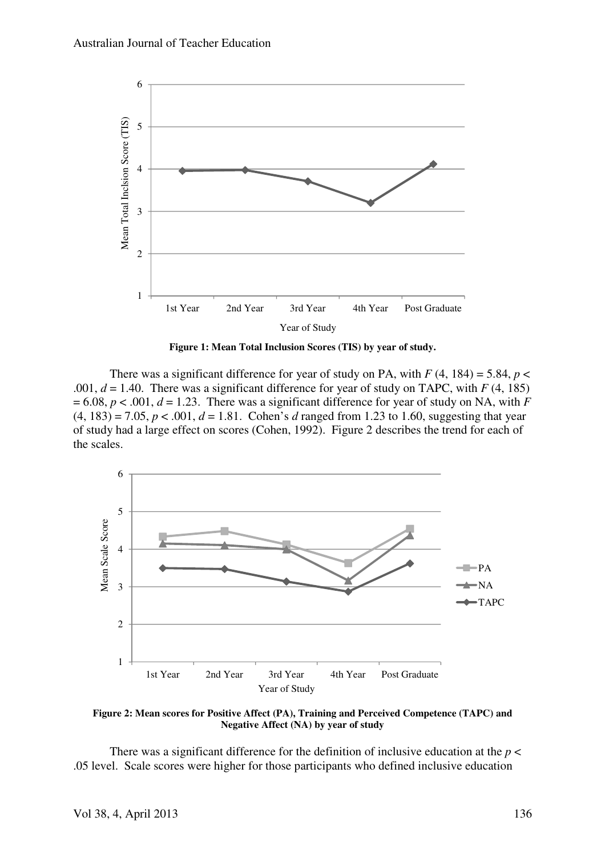

**Figure 1: Mean Total Inclusion Scores (TIS) by year of study.** 

There was a significant difference for year of study on PA, with  $F(4, 184) = 5.84$ ,  $p <$ .001,  $d = 1.40$ . There was a significant difference for year of study on TAPC, with  $F(4, 185)$  $= 6.08$ ,  $p < .001$ ,  $d = 1.23$ . There was a significant difference for year of study on NA, with *F*  $(4, 183) = 7.05, p < .001, d = 1.81$ . Cohen's *d* ranged from 1.23 to 1.60, suggesting that year of study had a large effect on scores (Cohen, 1992). Figure 2 describes the trend for each of the scales.



**Figure 2: Mean scores for Positive Affect (PA), Training and Perceived Competence (TAPC) and Negative Affect (NA) by year of study** 

There was a significant difference for the definition of inclusive education at the  $p <$ .05 level. Scale scores were higher for those participants who defined inclusive education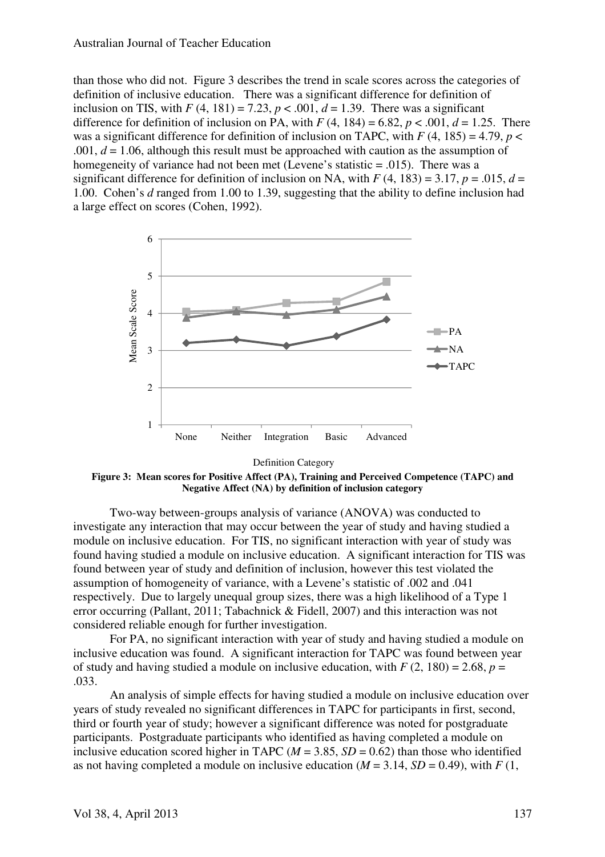#### Australian Journal of Teacher Education

than those who did not. Figure 3 describes the trend in scale scores across the categories of definition of inclusive education. There was a significant difference for definition of inclusion on TIS, with  $F(4, 181) = 7.23$ ,  $p < .001$ ,  $d = 1.39$ . There was a significant difference for definition of inclusion on PA, with  $F(4, 184) = 6.82$ ,  $p < .001$ ,  $d = 1.25$ . There was a significant difference for definition of inclusion on TAPC, with  $F(4, 185) = 4.79$ ,  $p <$ .001,  $d = 1.06$ , although this result must be approached with caution as the assumption of homegeneity of variance had not been met (Levene's statistic = .015). There was a significant difference for definition of inclusion on NA, with  $F(4, 183) = 3.17$ ,  $p = .015$ ,  $d =$ 1.00. Cohen's *d* ranged from 1.00 to 1.39, suggesting that the ability to define inclusion had a large effect on scores (Cohen, 1992).



Definition Category

**Figure 3: Mean scores for Positive Affect (PA), Training and Perceived Competence (TAPC) and Negative Affect (NA) by definition of inclusion category**

 Two-way between-groups analysis of variance (ANOVA) was conducted to investigate any interaction that may occur between the year of study and having studied a module on inclusive education. For TIS, no significant interaction with year of study was found having studied a module on inclusive education. A significant interaction for TIS was found between year of study and definition of inclusion, however this test violated the assumption of homogeneity of variance, with a Levene's statistic of .002 and .041 respectively. Due to largely unequal group sizes, there was a high likelihood of a Type 1 error occurring (Pallant, 2011; Tabachnick & Fidell, 2007) and this interaction was not considered reliable enough for further investigation.

 For PA, no significant interaction with year of study and having studied a module on inclusive education was found. A significant interaction for TAPC was found between year of study and having studied a module on inclusive education, with  $F(2, 180) = 2.68$ ,  $p =$ .033.

 An analysis of simple effects for having studied a module on inclusive education over years of study revealed no significant differences in TAPC for participants in first, second, third or fourth year of study; however a significant difference was noted for postgraduate participants. Postgraduate participants who identified as having completed a module on inclusive education scored higher in TAPC ( $M = 3.85$ ,  $SD = 0.62$ ) than those who identified as not having completed a module on inclusive education  $(M = 3.14, SD = 0.49)$ , with  $F(1,$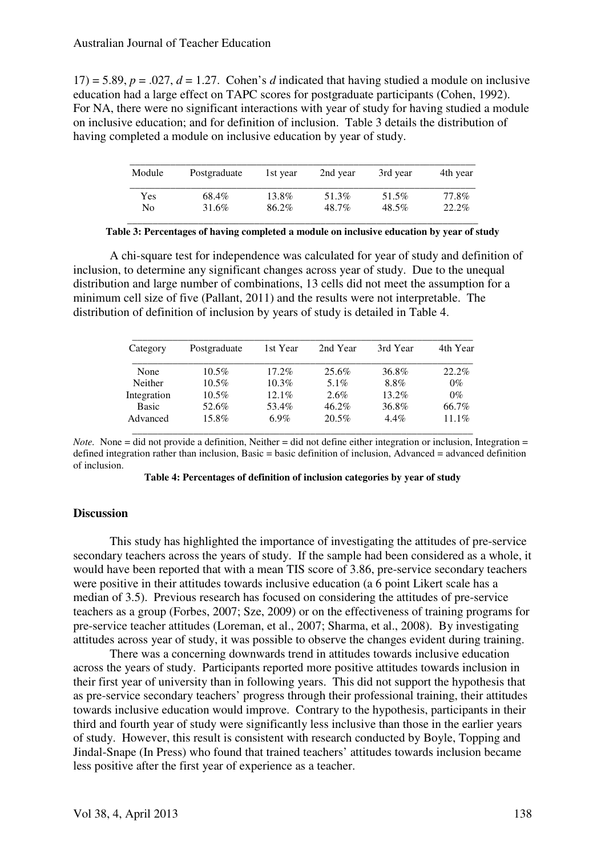$17$ ) = 5.89,  $p = .027$ ,  $d = 1.27$ . Cohen's *d* indicated that having studied a module on inclusive education had a large effect on TAPC scores for postgraduate participants (Cohen, 1992). For NA, there were no significant interactions with year of study for having studied a module on inclusive education; and for definition of inclusion. Table 3 details the distribution of having completed a module on inclusive education by year of study.

| Module | Postgraduate | 1st year | 2nd year | 3rd year | 4th year |
|--------|--------------|----------|----------|----------|----------|
| Yes    | 68.4%        | 13.8%    | 51.3%    | 51.5%    | 77.8%    |
| No     | 31.6%        | 86.2%    | 48.7%    | 48.5%    | $22.2\%$ |

**Table 3: Percentages of having completed a module on inclusive education by year of study** 

A chi-square test for independence was calculated for year of study and definition of inclusion, to determine any significant changes across year of study. Due to the unequal distribution and large number of combinations, 13 cells did not meet the assumption for a minimum cell size of five (Pallant, 2011) and the results were not interpretable. The distribution of definition of inclusion by years of study is detailed in Table 4.

| Category    | Postgraduate | 1st Year | 2nd Year | 3rd Year | 4th Year |
|-------------|--------------|----------|----------|----------|----------|
| None        | $10.5\%$     | $17.2\%$ | 25.6%    | 36.8%    | 22.2%    |
| Neither     | $10.5\%$     | $10.3\%$ | 5.1%     | 8.8%     | $0\%$    |
| Integration | $10.5\%$     | $12.1\%$ | $2.6\%$  | $13.2\%$ | $0\%$    |
| Basic       | 52.6%        | 53.4%    | $46.2\%$ | 36.8%    | 66.7%    |
| Advanced    | 15.8%        | $6.9\%$  | 20.5%    | $4.4\%$  | $11.1\%$ |

*Note.* None  $=$  did not provide a definition, Neither  $=$  did not define either integration or inclusion, Integration  $=$ defined integration rather than inclusion, Basic  $=$  basic definition of inclusion, Advanced  $=$  advanced definition of inclusion.

# **Discussion**

 This study has highlighted the importance of investigating the attitudes of pre-service secondary teachers across the years of study. If the sample had been considered as a whole, it would have been reported that with a mean TIS score of 3.86, pre-service secondary teachers were positive in their attitudes towards inclusive education (a 6 point Likert scale has a median of 3.5). Previous research has focused on considering the attitudes of pre-service teachers as a group (Forbes, 2007; Sze, 2009) or on the effectiveness of training programs for pre-service teacher attitudes (Loreman, et al., 2007; Sharma, et al., 2008). By investigating attitudes across year of study, it was possible to observe the changes evident during training.

There was a concerning downwards trend in attitudes towards inclusive education across the years of study. Participants reported more positive attitudes towards inclusion in their first year of university than in following years. This did not support the hypothesis that as pre-service secondary teachers' progress through their professional training, their attitudes towards inclusive education would improve. Contrary to the hypothesis, participants in their third and fourth year of study were significantly less inclusive than those in the earlier years of study. However, this result is consistent with research conducted by Boyle, Topping and Jindal-Snape (In Press) who found that trained teachers' attitudes towards inclusion became less positive after the first year of experience as a teacher.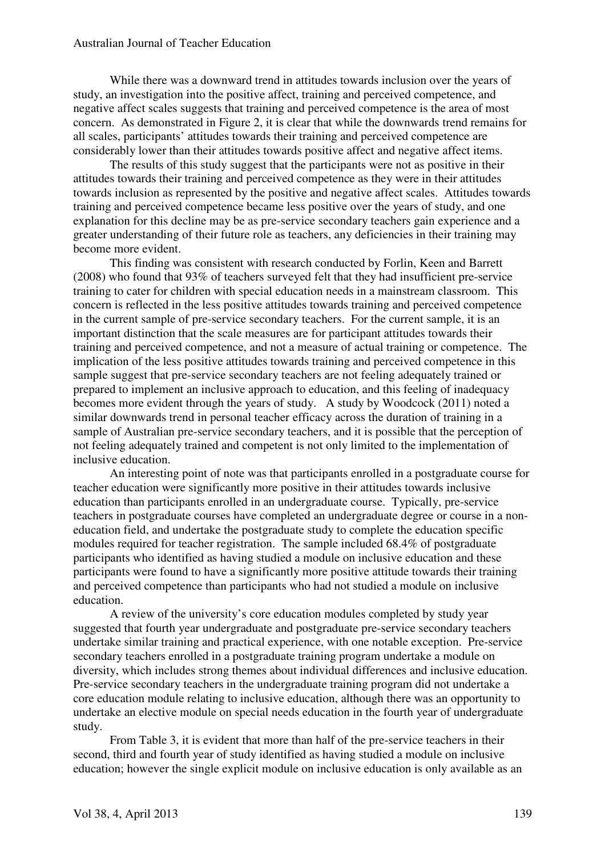While there was a downward trend in attitudes towards inclusion over the years of study, an investigation into the positive affect, training and perceived competence, and negative affect scales suggests that training and perceived competence is the area of most concern. As demonstrated in Figure 2, it is clear that while the downwards trend remains for all scales, participants' attitudes towards their training and perceived competence are considerably lower than their attitudes towards positive affect and negative affect items.

 The results of this study suggest that the participants were not as positive in their attitudes towards their training and perceived competence as they were in their attitudes towards inclusion as represented by the positive and negative affect scales. Attitudes towards training and perceived competence became less positive over the years of study, and one explanation for this decline may be as pre-service secondary teachers gain experience and a greater understanding of their future role as teachers, any deficiencies in their training may become more evident.

This finding was consistent with research conducted by Forlin, Keen and Barrett (2008) who found that 93% of teachers surveyed felt that they had insufficient pre-service training to cater for children with special education needs in a mainstream classroom. This concern is reflected in the less positive attitudes towards training and perceived competence in the current sample of pre-service secondary teachers. For the current sample, it is an important distinction that the scale measures are for participant attitudes towards their training and perceived competence, and not a measure of actual training or competence. The implication of the less positive attitudes towards training and perceived competence in this sample suggest that pre-service secondary teachers are not feeling adequately trained or prepared to implement an inclusive approach to education, and this feeling of inadequacy becomes more evident through the years of study. A study by Woodcock (2011) noted a similar downwards trend in personal teacher efficacy across the duration of training in a sample of Australian pre-service secondary teachers, and it is possible that the perception of not feeling adequately trained and competent is not only limited to the implementation of inclusive education.

 An interesting point of note was that participants enrolled in a postgraduate course for teacher education were significantly more positive in their attitudes towards inclusive education than participants enrolled in an undergraduate course. Typically, pre-service teachers in postgraduate courses have completed an undergraduate degree or course in a noneducation field, and undertake the postgraduate study to complete the education specific modules required for teacher registration. The sample included 68.4% of postgraduate participants who identified as having studied a module on inclusive education and these participants were found to have a significantly more positive attitude towards their training and perceived competence than participants who had not studied a module on inclusive education.

A review of the university's core education modules completed by study year suggested that fourth year undergraduate and postgraduate pre-service secondary teachers undertake similar training and practical experience, with one notable exception. Pre-service secondary teachers enrolled in a postgraduate training program undertake a module on diversity, which includes strong themes about individual differences and inclusive education. Pre-service secondary teachers in the undergraduate training program did not undertake a core education module relating to inclusive education, although there was an opportunity to undertake an elective module on special needs education in the fourth year of undergraduate study.

From Table 3, it is evident that more than half of the pre-service teachers in their second, third and fourth year of study identified as having studied a module on inclusive education; however the single explicit module on inclusive education is only available as an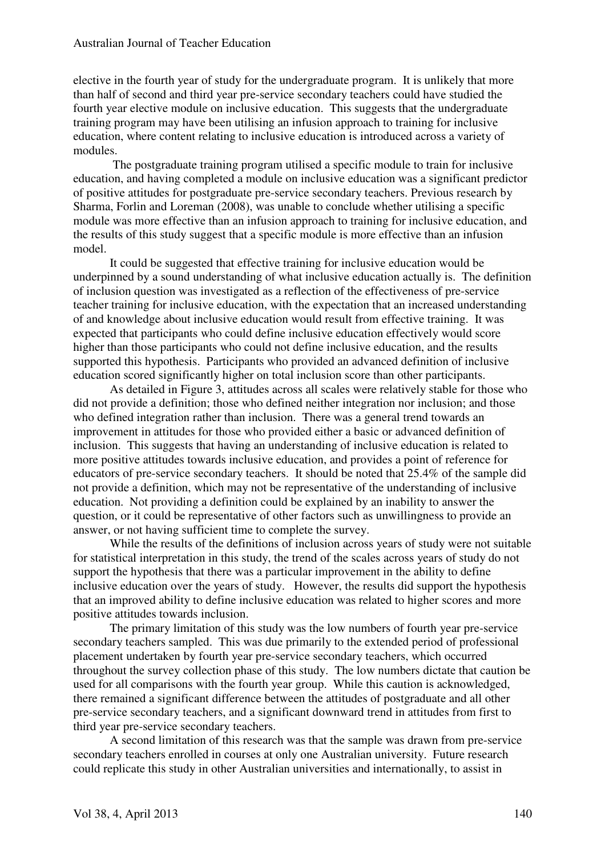#### Australian Journal of Teacher Education

elective in the fourth year of study for the undergraduate program. It is unlikely that more than half of second and third year pre-service secondary teachers could have studied the fourth year elective module on inclusive education. This suggests that the undergraduate training program may have been utilising an infusion approach to training for inclusive education, where content relating to inclusive education is introduced across a variety of modules.

 The postgraduate training program utilised a specific module to train for inclusive education, and having completed a module on inclusive education was a significant predictor of positive attitudes for postgraduate pre-service secondary teachers. Previous research by Sharma, Forlin and Loreman (2008), was unable to conclude whether utilising a specific module was more effective than an infusion approach to training for inclusive education, and the results of this study suggest that a specific module is more effective than an infusion model.

 It could be suggested that effective training for inclusive education would be underpinned by a sound understanding of what inclusive education actually is. The definition of inclusion question was investigated as a reflection of the effectiveness of pre-service teacher training for inclusive education, with the expectation that an increased understanding of and knowledge about inclusive education would result from effective training. It was expected that participants who could define inclusive education effectively would score higher than those participants who could not define inclusive education, and the results supported this hypothesis. Participants who provided an advanced definition of inclusive education scored significantly higher on total inclusion score than other participants.

 As detailed in Figure 3, attitudes across all scales were relatively stable for those who did not provide a definition; those who defined neither integration nor inclusion; and those who defined integration rather than inclusion. There was a general trend towards an improvement in attitudes for those who provided either a basic or advanced definition of inclusion. This suggests that having an understanding of inclusive education is related to more positive attitudes towards inclusive education, and provides a point of reference for educators of pre-service secondary teachers. It should be noted that 25.4% of the sample did not provide a definition, which may not be representative of the understanding of inclusive education. Not providing a definition could be explained by an inability to answer the question, or it could be representative of other factors such as unwillingness to provide an answer, or not having sufficient time to complete the survey.

While the results of the definitions of inclusion across years of study were not suitable for statistical interpretation in this study, the trend of the scales across years of study do not support the hypothesis that there was a particular improvement in the ability to define inclusive education over the years of study. However, the results did support the hypothesis that an improved ability to define inclusive education was related to higher scores and more positive attitudes towards inclusion.

 The primary limitation of this study was the low numbers of fourth year pre-service secondary teachers sampled. This was due primarily to the extended period of professional placement undertaken by fourth year pre-service secondary teachers, which occurred throughout the survey collection phase of this study. The low numbers dictate that caution be used for all comparisons with the fourth year group. While this caution is acknowledged, there remained a significant difference between the attitudes of postgraduate and all other pre-service secondary teachers, and a significant downward trend in attitudes from first to third year pre-service secondary teachers.

 A second limitation of this research was that the sample was drawn from pre-service secondary teachers enrolled in courses at only one Australian university. Future research could replicate this study in other Australian universities and internationally, to assist in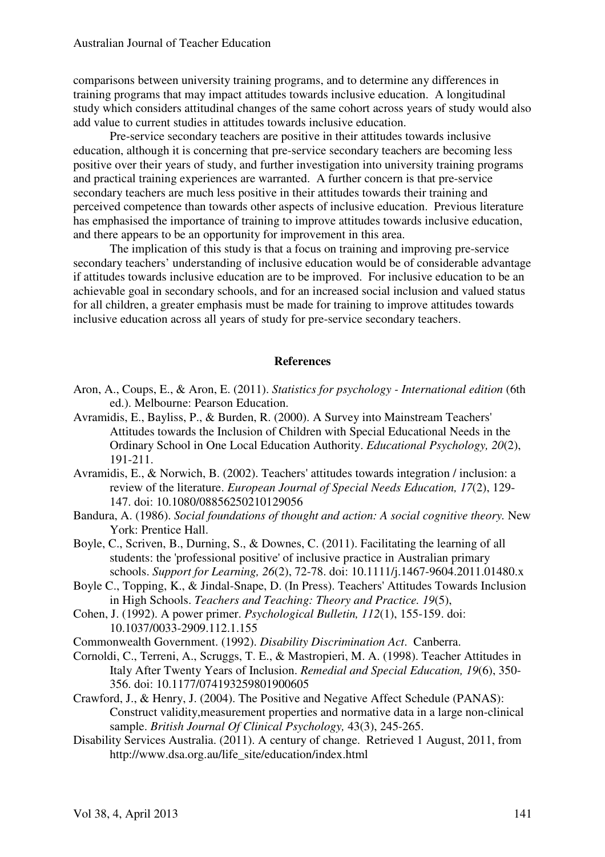comparisons between university training programs, and to determine any differences in training programs that may impact attitudes towards inclusive education. A longitudinal study which considers attitudinal changes of the same cohort across years of study would also add value to current studies in attitudes towards inclusive education.

 Pre-service secondary teachers are positive in their attitudes towards inclusive education, although it is concerning that pre-service secondary teachers are becoming less positive over their years of study, and further investigation into university training programs and practical training experiences are warranted. A further concern is that pre-service secondary teachers are much less positive in their attitudes towards their training and perceived competence than towards other aspects of inclusive education. Previous literature has emphasised the importance of training to improve attitudes towards inclusive education, and there appears to be an opportunity for improvement in this area.

The implication of this study is that a focus on training and improving pre-service secondary teachers' understanding of inclusive education would be of considerable advantage if attitudes towards inclusive education are to be improved. For inclusive education to be an achievable goal in secondary schools, and for an increased social inclusion and valued status for all children, a greater emphasis must be made for training to improve attitudes towards inclusive education across all years of study for pre-service secondary teachers.

### **References**

- Aron, A., Coups, E., & Aron, E. (2011). *Statistics for psychology International edition* (6th ed.). Melbourne: Pearson Education.
- Avramidis, E., Bayliss, P., & Burden, R. (2000). A Survey into Mainstream Teachers' Attitudes towards the Inclusion of Children with Special Educational Needs in the Ordinary School in One Local Education Authority. *Educational Psychology, 20*(2), 191-211.
- Avramidis, E., & Norwich, B. (2002). Teachers' attitudes towards integration / inclusion: a review of the literature. *European Journal of Special Needs Education, 17*(2), 129- 147. doi: 10.1080/08856250210129056
- Bandura, A. (1986). *Social foundations of thought and action: A social cognitive theory.* New York: Prentice Hall.
- Boyle, C., Scriven, B., Durning, S., & Downes, C. (2011). Facilitating the learning of all students: the 'professional positive' of inclusive practice in Australian primary schools. *Support for Learning, 26*(2), 72-78. doi: 10.1111/j.1467-9604.2011.01480.x
- Boyle C., Topping, K., & Jindal-Snape, D. (In Press). Teachers' Attitudes Towards Inclusion in High Schools. *Teachers and Teaching: Theory and Practice. 19*(5),
- Cohen, J. (1992). A power primer. *Psychological Bulletin, 112*(1), 155-159. doi: 10.1037/0033-2909.112.1.155
- Commonwealth Government. (1992). *Disability Discrimination Act*. Canberra.
- Cornoldi, C., Terreni, A., Scruggs, T. E., & Mastropieri, M. A. (1998). Teacher Attitudes in Italy After Twenty Years of Inclusion. *Remedial and Special Education, 19*(6), 350- 356. doi: 10.1177/074193259801900605
- Crawford, J., & Henry, J. (2004). The Positive and Negative Affect Schedule (PANAS): Construct validity,measurement properties and normative data in a large non-clinical sample. *British Journal Of Clinical Psychology,* 43(3), 245-265.
- Disability Services Australia. (2011). A century of change. Retrieved 1 August, 2011, from http://www.dsa.org.au/life\_site/education/index.html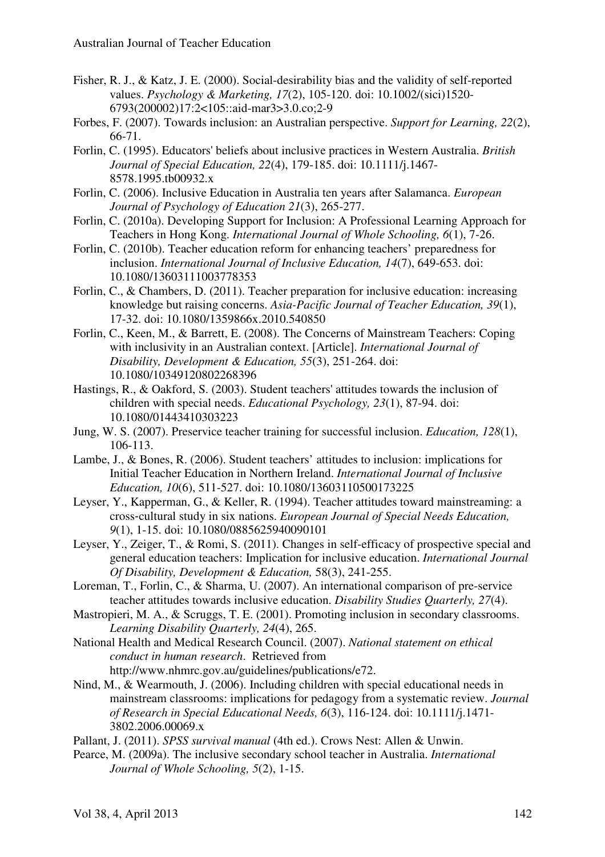- Fisher, R. J., & Katz, J. E. (2000). Social-desirability bias and the validity of self-reported values. *Psychology & Marketing, 17*(2), 105-120. doi: 10.1002/(sici)1520- 6793(200002)17:2<105::aid-mar3>3.0.co;2-9
- Forbes, F. (2007). Towards inclusion: an Australian perspective. *Support for Learning, 22*(2), 66-71.
- Forlin, C. (1995). Educators' beliefs about inclusive practices in Western Australia. *British Journal of Special Education, 22*(4), 179-185. doi: 10.1111/j.1467- 8578.1995.tb00932.x
- Forlin, C. (2006). Inclusive Education in Australia ten years after Salamanca. *European Journal of Psychology of Education 21*(3), 265-277.
- Forlin, C. (2010a). Developing Support for Inclusion: A Professional Learning Approach for Teachers in Hong Kong. *International Journal of Whole Schooling, 6*(1), 7-26.
- Forlin, C. (2010b). Teacher education reform for enhancing teachers' preparedness for inclusion. *International Journal of Inclusive Education, 14*(7), 649-653. doi: 10.1080/13603111003778353
- Forlin, C., & Chambers, D. (2011). Teacher preparation for inclusive education: increasing knowledge but raising concerns. *Asia-Pacific Journal of Teacher Education, 39*(1), 17-32. doi: 10.1080/1359866x.2010.540850
- Forlin, C., Keen, M., & Barrett, E. (2008). The Concerns of Mainstream Teachers: Coping with inclusivity in an Australian context. [Article]. *International Journal of Disability, Development & Education, 55*(3), 251-264. doi: 10.1080/10349120802268396
- Hastings, R., & Oakford, S. (2003). Student teachers' attitudes towards the inclusion of children with special needs. *Educational Psychology, 23*(1), 87-94. doi: 10.1080/01443410303223
- Jung, W. S. (2007). Preservice teacher training for successful inclusion. *Education, 128*(1), 106-113.
- Lambe, J., & Bones, R. (2006). Student teachers' attitudes to inclusion: implications for Initial Teacher Education in Northern Ireland. *International Journal of Inclusive Education, 10*(6), 511-527. doi: 10.1080/13603110500173225
- Leyser, Y., Kapperman, G., & Keller, R. (1994). Teacher attitudes toward mainstreaming: a cross‐cultural study in six nations. *European Journal of Special Needs Education, 9*(1), 1-15. doi: 10.1080/0885625940090101
- Leyser, Y., Zeiger, T., & Romi, S. (2011). Changes in self-efficacy of prospective special and general education teachers: Implication for inclusive education. *International Journal Of Disability, Development & Education,* 58(3), 241-255.
- Loreman, T., Forlin, C., & Sharma, U. (2007). An international comparison of pre-service teacher attitudes towards inclusive education. *Disability Studies Quarterly, 27*(4).
- Mastropieri, M. A., & Scruggs, T. E. (2001). Promoting inclusion in secondary classrooms. *Learning Disability Quarterly, 24*(4), 265.
- National Health and Medical Research Council. (2007). *National statement on ethical conduct in human research*. Retrieved from http://www.nhmrc.gov.au/guidelines/publications/e72.
- Nind, M., & Wearmouth, J. (2006). Including children with special educational needs in mainstream classrooms: implications for pedagogy from a systematic review. *Journal of Research in Special Educational Needs, 6*(3), 116-124. doi: 10.1111/j.1471- 3802.2006.00069.x
- Pallant, J. (2011). *SPSS survival manual* (4th ed.). Crows Nest: Allen & Unwin.
- Pearce, M. (2009a). The inclusive secondary school teacher in Australia. *International Journal of Whole Schooling, 5*(2), 1-15.